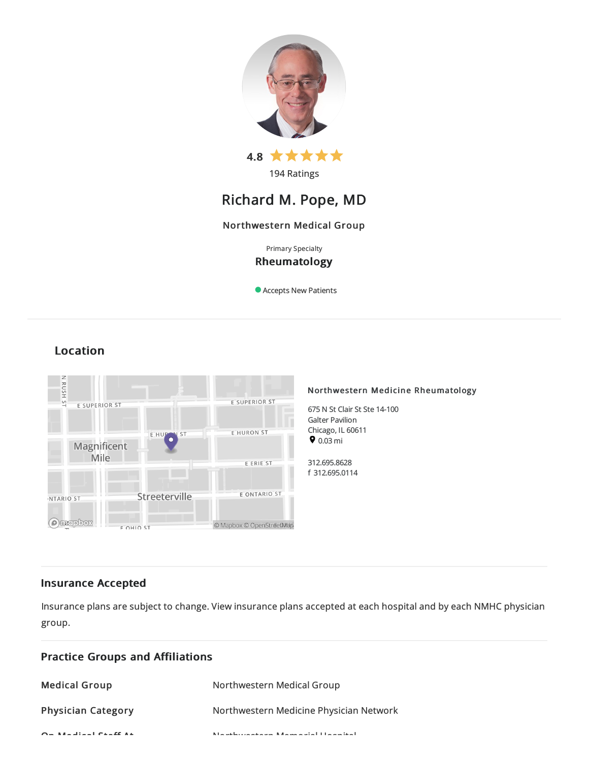

194 Ratings

# Richard M. Pope, MD

## Northwestern Medical Group

Primary Specialty

## Rheumatology

Accepts New Patients

## Location



## Insurance Accepted

Insurance plans are subject to change. View [insurance](https://www.nm.org/patients-and-visitors/billing-and-insurance/insurance-information/accepted-insurance-plans) plans accepted at each hospital and by each NMHC physician group.

| <b>Practice Groups and Affiliations</b> |                                                                             |  |
|-----------------------------------------|-----------------------------------------------------------------------------|--|
| <b>Medical Group</b>                    | Northwestern Medical Group                                                  |  |
| <b>Physician Category</b>               | Northwestern Medicine Physician Network                                     |  |
| $Q = M + 1$ and $Q = 1$                 | Kita and has a complete computation of the first production of the state of |  |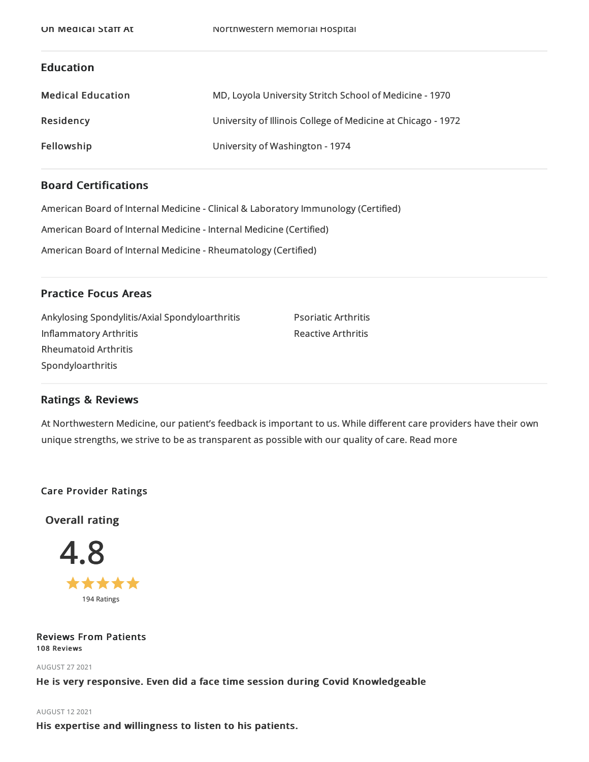## Education

| <b>Medical Education</b> | MD, Loyola University Stritch School of Medicine - 1970      |
|--------------------------|--------------------------------------------------------------|
| Residency                | University of Illinois College of Medicine at Chicago - 1972 |
| Fellowship               | University of Washington - 1974                              |

## Board Certifications

American Board of Internal Medicine- Clinical & Laboratory Immunology (Certified)

American Board of Internal Medicine- Internal Medicine(Certified)

American Board of Internal Medicine- Rheumatology (Certified)

## Practice Focus Areas

| Ankylosing Spondylitis/Axial Spondyloarthritis | <b>Psoriatic Arthritis</b> |
|------------------------------------------------|----------------------------|
| Inflammatory Arthritis                         | <b>Reactive Arthritis</b>  |
| Rheumatoid Arthritis                           |                            |
| Spondyloarthritis                              |                            |
|                                                |                            |

## Ratings & Reviews

At Northwestern Medicine, our patient's feedback is important to us. While different care providers have their own unique strengths, we strive to be as transparent as possible with our quality of care. Read more

## Care Provider Ratings

Overall rating



#### Reviews From Patients 108 Reviews

AUGUST 272021

He is very responsive. Even did a face time session during Covid Knowledgeable

## AUGUST 122021

His expertise and willingness to listen to his patients.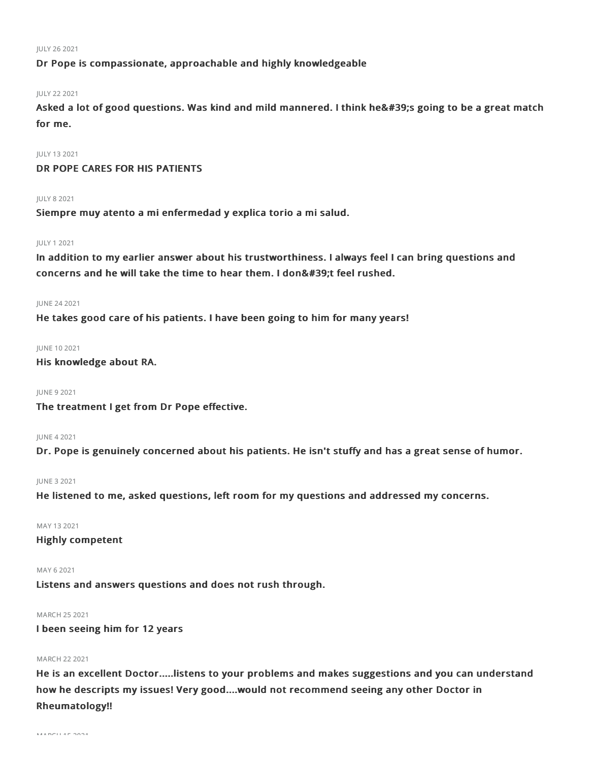#### JULY 262021

Dr Pope is compassionate, approachable and highly knowledgeable

#### JULY 222021

Asked a lot of good questions. Was kind and mild mannered. I think he's going to be a great match for me.

JULY 132021 DR POPE CARES FOR HIS PATIENTS

#### JULY 82021

Siempre muy atento a mi enfermedad y explica torio a mi salud.

#### JULY 12021

In addition to my earlier answer about his trustworthiness. I always feel I can bring questions and concerns and he will take the time to hear them. I don't feel rushed.

#### JUNE 242021

He takes good care of his patients. I have been going to him for many years!

#### JUNE 102021

His knowledge about RA.

#### JUNE 92021

The treatment I get from Dr Pope effective.

#### JUNE 42021

Dr. Pope is genuinely concerned about his patients. He isn't stuffy and has a great sense of humor.

#### JUNE 32021

He listened to me, asked questions, left room for my questions and addressed my concerns.

#### MAY 132021

Highly competent

#### MAY 62021

Listens and answers questions and does not rush through.

### MARCH 252021

I been seeing him for 12 years

### MARCH 222021

He is an excellent Doctor.....listens to your problems and makes suggestions and you can understand how he descripts my issues! Very good....would not recommend seeing any other Doctor in Rheumatology!!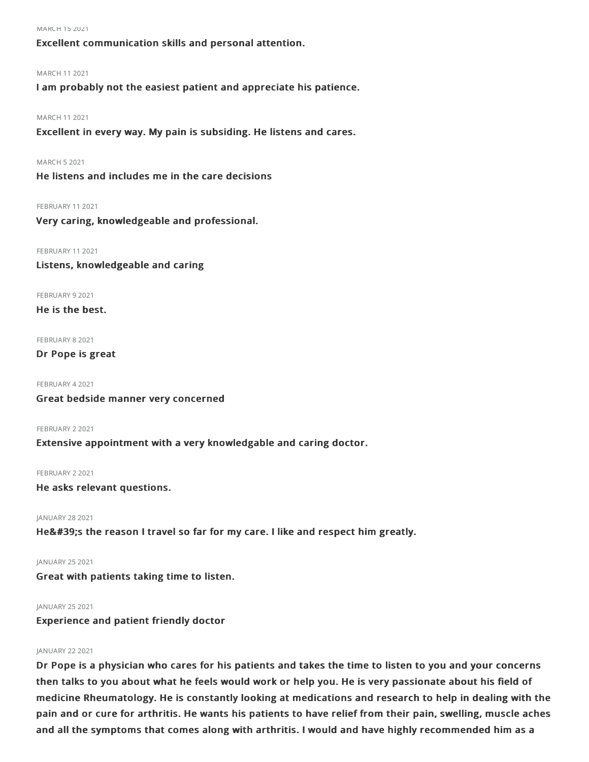MARCH 152021

Excellent communication skills and personal attention.

#### MARCH 112021

I am probably not the easiest patient and appreciate his patience.

#### MARCH 112021

Excellent in every way. My pain is subsiding. He listens and cares.

MARCH 52021

He listens and includes me in the care decisions

#### FEBRUARY 11 2021

Very caring, knowledgeable and professional.

FEBRUARY 11 2021 Listens, knowledgeable and caring

FEBRUARY 9 2021

He is the best.

FEBRUARY 8 2021

## Dr Pope is great

FEBRUARY 42021 Great bedside manner very concerned

FEBRUARY 2 2021

## Extensive appointment with a very knowledgable and caring doctor.

FEBRUARY 22021 He asks relevant questions.

JANUARY 28 2021

He's the reason I travel so far for my care. I like and respect him greatly.

JANUARY 252021

Great with patients taking time to listen.

#### JANUARY 252021

Experience and patient friendly doctor

## JANUARY 22 2021

Dr Pope is a physician who cares for his patients and takes the time to listen to you and your concerns then talks to you about what he feels would work or help you. He is very passionate about his field of medicine Rheumatology. He is constantly looking at medications and research to help in dealing with the pain and or cure for arthritis. He wants his patients to have relief from their pain, swelling, muscle aches and all the symptoms that comes along with arthritis. I would and have highly recommended him as a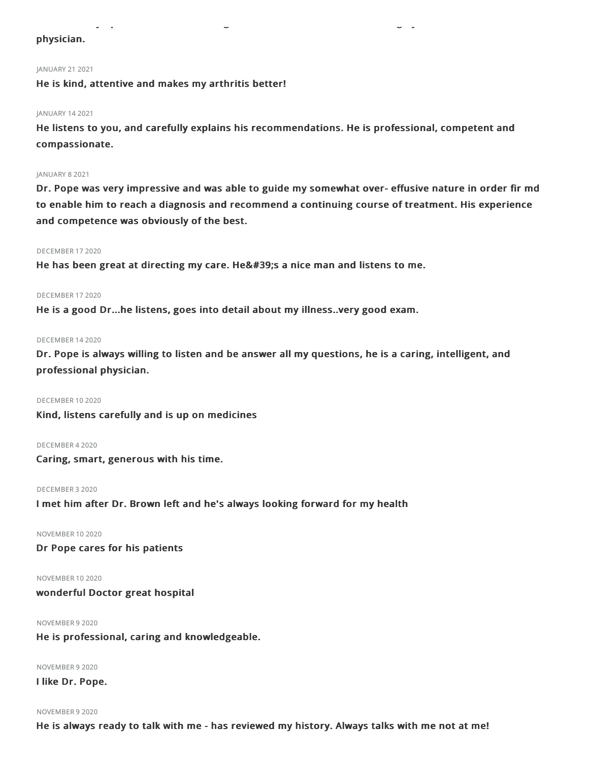## physician.

#### JANUARY 21 2021

He is kind, attentive and makes my arthritis better!

#### JANUARY 142021

He listens to you, and carefully explains his recommendations. He is professional, competent and compassionate.

and all the symptoms that comes along with arthritis. I would and have highly recommended him as a

#### JANUARY 82021

Dr. Pope was very impressive and was able to guide my somewhat over- effusive nature in order fir md to enable him to reach a diagnosis and recommend a continuing course of treatment. His experience and competence was obviously of the best.

#### DECEMBER 172020

He has been great at directing my care. He's a nice man and listens to me.

#### DECEMBER 172020

He is a good Dr...he listens, goes into detail about my illness..very good exam.

#### DECEMBER 142020

Dr. Pope is always willing to listen and be answer all my questions, he is a caring, intelligent, and professional physician.

#### DECEMBER 102020

Kind, listens carefully and is up on medicines

#### DECEMBER 42020

Caring, smart, generous with his time.

#### DECEMBER 32020

I met him after Dr. Brown left and he's always looking forward for my health

#### NOVEMBER 102020

Dr Pope cares for his patients

NOVEMBER 102020

wonderful Doctor great hospital

#### NOVEMBER 92020

He is professional, caring and knowledgeable.

NOVEMBER 92020

I like Dr. Pope.

#### NOVEMBER 92020

He is always ready to talk with me - has reviewed my history. Always talks with me not at me!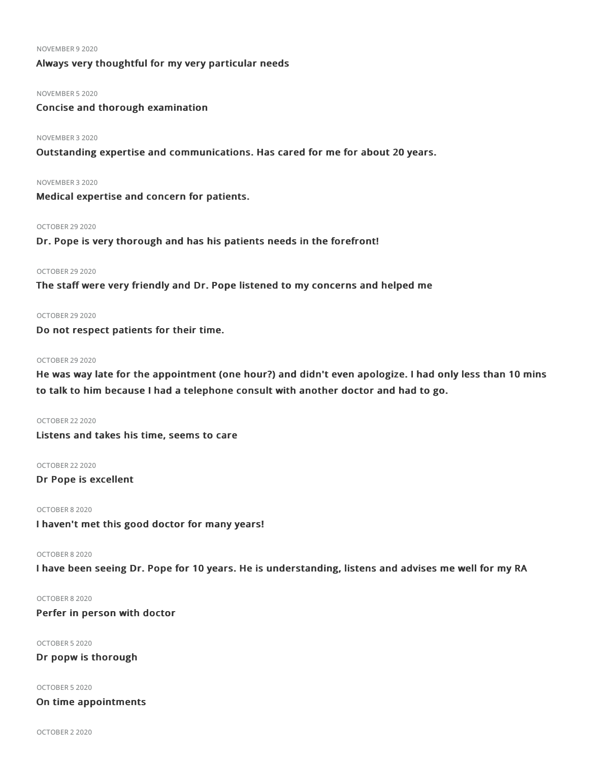#### NOVEMBER 92020

## Always very thoughtful for my very particular needs

#### NOVEMBER 52020

Concise and thorough examination

#### NOVEMBER 32020

Outstanding expertise and communications. Has cared for me for about 20 years.

NOVEMBER 32020

Medical expertise and concern for patients.

#### OCTOBER 29 2020

Dr. Pope is very thorough and has his patients needs in the forefront!

#### OCTOBER 29 2020

The staff were very friendly and Dr. Pope listened to my concerns and helped me

#### OCTOBER 29 2020

Do not respect patients for their time.

#### OCTOBER 29 2020

He was way late for the appointment (one hour?) and didn't even apologize. I had only less than 10 mins to talk to him because I had a telephone consult with another doctor and had to go.

OCTOBER 222020 Listens and takes his time, seems to care

OCTOBER 222020

Dr Pope is excellent

OCTOBER 82020

I haven't met this good doctor for many years!

#### OCTOBER 82020

I have been seeing Dr. Pope for 10 years. He is understanding, listens and advises me well for my RA

## OCTOBER 82020

Perfer in person with doctor

OCTOBER 52020

Dr popw is thorough

OCTOBER 52020

On time appointments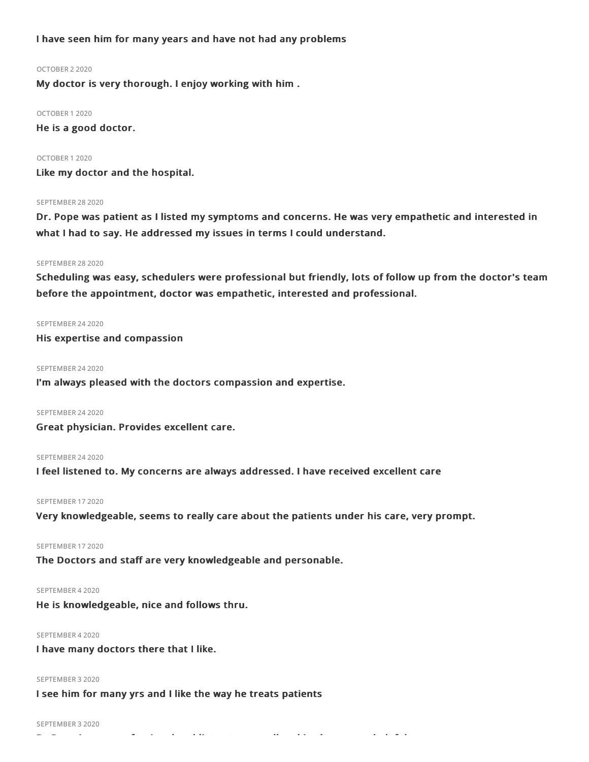I have seen him for many years and have not had any problems

#### OCTOBER 22020

My doctor is very thorough. I enjoy working with him .

OCTOBER 12020 He is a good doctor.

### OCTOBER 12020

Like my doctor and the hospital.

#### SEPTEMBER 28 2020

Dr. Pope was patient as I listed my symptoms and concerns. He was very empathetic and interested in what I had to say. He addressed my issues in terms I could understand.

#### SEPTEMBER 28 2020

Scheduling was easy, schedulers were professional but friendly, lots of follow up from the doctor's team before the appointment, doctor was empathetic, interested and professional.

#### SEPTEMBER 24 2020

His expertise and compassion

#### SEPTEMBER 24 2020

I'm always pleased with the doctors compassion and expertise.

#### SEPTEMBER 24 2020

Great physician. Provides excellent care.

#### SEPTEMBER 24 2020

I feel listened to. My concerns are always addressed. I have received excellent care

#### SEPTEMBER 17 2020

Very knowledgeable, seems to really care about the patients under his care, very prompt.

#### SEPTEMBER 17 2020

The Doctors and staff are very knowledgeable and personable.

#### SEPTEMBER 42020

He is knowledgeable, nice and follows thru.

#### SEPTEMBER 42020

I have many doctors there that I like.

#### SEPTEMBER 32020

I see him for many yrs and I like the way he treats patients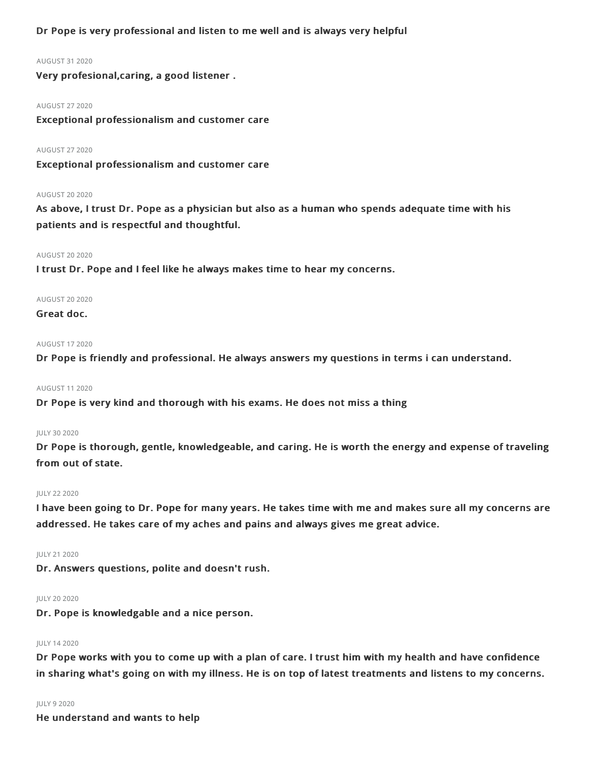## Dr Pope is very professional and listen to me well and is always very helpful

#### AUGUST 312020

Very profesional,caring, a good listener .

#### AUGUST 272020

Exceptional professionalism and customer care

#### AUGUST 272020

Exceptional professionalism and customer care

#### **AUGUST 20 2020**

As above, I trust Dr. Pope as a physician but also as a human who spends adequate time with his patients and is respectful and thoughtful.

#### **AUGUST 20 2020**

I trust Dr. Pope and I feel like he always makes time to hear my concerns.

#### **AUGUST 20 2020**

#### Great doc.

#### AUGUST 172020

Dr Pope is friendly and professional. He always answers my questions in terms i can understand.

#### AUGUST 112020

Dr Pope is very kind and thorough with his exams. He does not miss a thing

#### JULY 30 2020

Dr Pope is thorough, gentle, knowledgeable, and caring. He is worth the energy and expense of traveling from out of state.

#### JULY 222020

I have been going to Dr. Pope for many years. He takes time with me and makes sure all my concerns are addressed. He takes care of my aches and pains and always gives me great advice.

#### JULY 212020

Dr. Answers questions, polite and doesn't rush.

#### JULY 20 2020

Dr. Pope is knowledgable and a nice person.

#### JULY 142020

Dr Pope works with you to come up with a plan of care. I trust him with my health and have confidence in sharing what's going on with my illness. He is on top of latest treatments and listens to my concerns.

#### JULY 92020

He understand and wants to help